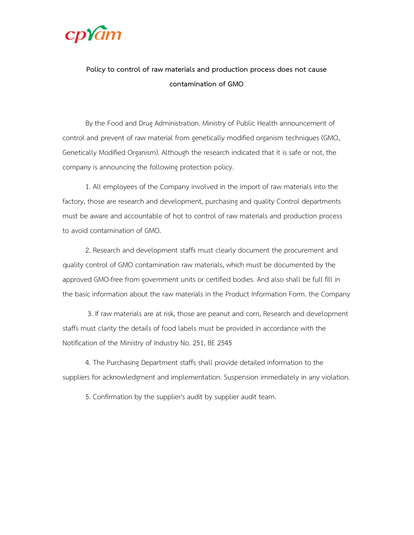

## Policy to control of raw materials and production process does not cause contamination of GMO

By the Food and Drug Administration. Ministry of Public Health announcement of control and prevent of raw material from genetically modified organism techniques (GMO, Genetically Modified Organism). Although the research indicated that it is safe or not, the company is announcing the following protection policy.

 1. All employees of the Company involved in the import of raw materials into the factory, those are research and development, purchasing and quality Control departments must be aware and accountable of hot to control of raw materials and production process to avoid contamination of GMO.

 2. Research and development staffs must clearly document the procurement and quality control of GMO contamination raw materials, which must be documented by the approved GMO-free from government units or certified bodies. And also shall be full fill in the basic information about the raw materials in the Product Information Form. the Company

 3. If raw materials are at risk, those are peanut and corn, Research and development staffs must clarity the details of food labels must be provided in accordance with the Notification of the Ministry of Industry No. 251, BE 2545

 4. The Purchasing Department staffs shall provide detailed information to the suppliers for acknowledgment and implementation. Suspension immediately in any violation.

5. Confirmation by the supplier's audit by supplier audit team.